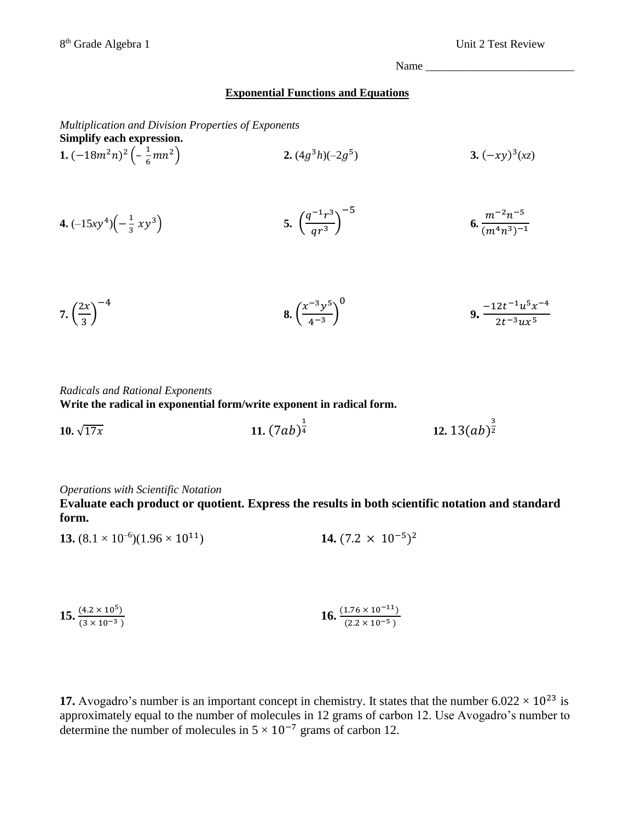Name \_\_\_\_\_\_\_\_\_\_\_\_\_\_\_\_\_\_\_\_\_\_\_\_\_\_

## **Exponential Functions and Equations**

*Multiplication and Division Properties of Exponents* **Simplify each expression.**

1. 
$$
(-18m^2n)^2\left(-\frac{1}{6}mn^2\right)
$$
  
2.  $(4g^3h)(-2g^5)$   
3.  $(-xy)^3(xz)$ 

**4.** 
$$
(-15xy^4)\left(-\frac{1}{3}xy^3\right)
$$
   
**5.**  $\left(\frac{q^{-1}r^3}{qr^3}\right)^{-5}$    
**6.**  $\frac{m^{-2}n^{-5}}{(m^4n^3)^{-1}}$ 

7. 
$$
\left(\frac{2x}{3}\right)^{-4}
$$
 8.  $\left(\frac{x^{-3}y^5}{4^{-3}}\right)^0$  9.  $\frac{-12t^{-1}u^5x^{-4}}{2t^{-3}ux^5}$ 

*Radicals and Rational Exponents*

**Write the radical in exponential form/write exponent in radical form.** 

**10.**  $\sqrt{17x}$  **11.**  $(7ab)^{\frac{1}{4}}$  $\frac{1}{4}$  **12.**  $13(ab)^{\frac{3}{2}}$ 2

## *Operations with Scientific Notation*

**Evaluate each product or quotient. Express the results in both scientific notation and standard form.**

**13.** 
$$
(8.1 \times 10^{-6})(1.96 \times 10^{11})
$$
 **14.**  $(7.2 \times 10^{-5})^2$ 

**15.** 
$$
\frac{(4.2 \times 10^5)}{(3 \times 10^{-3})}
$$
 **16.** 
$$
\frac{(1.76 \times 10^{-11})}{(2.2 \times 10^{-5})}
$$

**17.** Avogadro's number is an important concept in chemistry. It states that the number  $6.022 \times 10^{23}$  is approximately equal to the number of molecules in 12 grams of carbon 12. Use Avogadro's number to determine the number of molecules in  $5 \times 10^{-7}$  grams of carbon 12.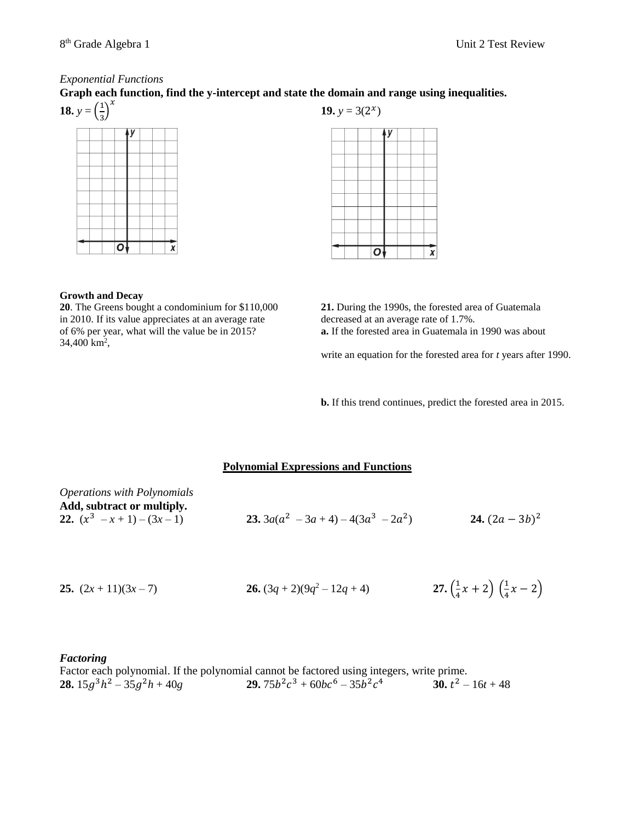## *Exponential Functions*

**Graph each function, find the y-intercept and state the domain and range using inequalities.** 



|  | 19. $y = 3(2^x)$ |  |  |  |
|--|------------------|--|--|--|
|  |                  |  |  |  |
|  |                  |  |  |  |
|  |                  |  |  |  |
|  |                  |  |  |  |
|  |                  |  |  |  |
|  |                  |  |  |  |
|  |                  |  |  |  |
|  |                  |  |  |  |

 $\mathbf{O}$ 

#### **Growth and Decay**

**20**. The Greens bought a condominium for \$110,000 in 2010. If its value appreciates at an average rate of 6% per year, what will the value be in 2015? 34,400 km<sup>2</sup>,

| 21. During the 1990s, the forested area of Guatemala          |
|---------------------------------------------------------------|
| decreased at an average rate of 1.7%.                         |
| <b>a.</b> If the forested area in Guatemala in 1990 was about |

 $\overline{x}$ 

write an equation for the forested area for *t* years after 1990.

**b.** If this trend continues, predict the forested area in 2015.

## **Polynomial Expressions and Functions**

| <i><b>Operations with Polynomials</b></i> |                                                |                 |
|-------------------------------------------|------------------------------------------------|-----------------|
| Add, subtract or multiply.                |                                                |                 |
| 22. $(x^3 - x + 1) - (3x - 1)$            | <b>23.</b> $3a(a^2 - 3a + 4) - 4(3a^3 - 2a^2)$ | 24. $(2a-3b)^2$ |
|                                           |                                                |                 |

**25.** 
$$
(2x+11)(3x-7)
$$
   
**26.**  $(3q+2)(9q^2-12q+4)$    
**27.**  $\left(\frac{1}{4}x+2\right)\left(\frac{1}{4}x-2\right)$ 

## *Factoring*

Factor each polynomial. If the polynomial cannot be factored using integers, write prime. **28.**  $15g^3h^2 - 35g^2h + 40g$  **29.** 75*b*  $c^2c^3 + 60bc^6 - 35b^2c$ 4 **30.**  $t^2 - 16t + 48$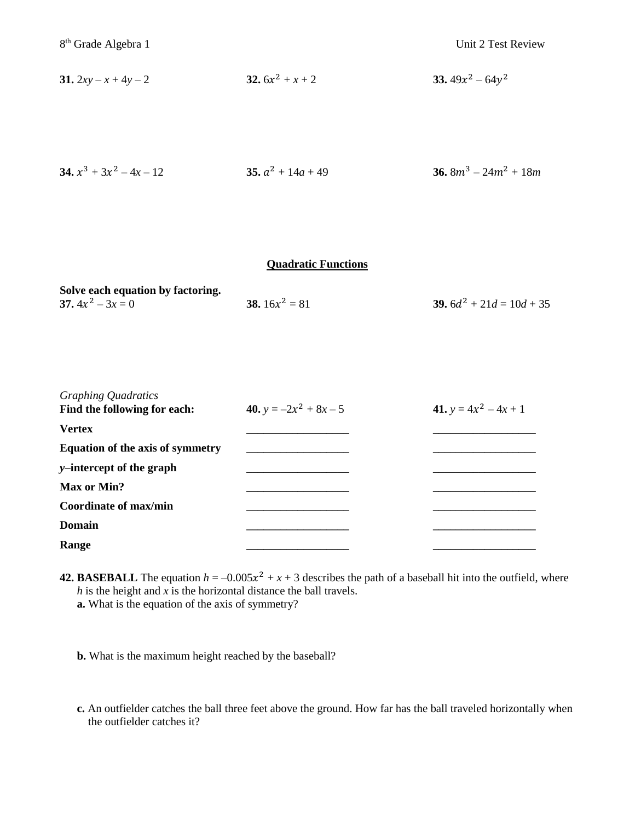**31.** 
$$
2xy - x + 4y - 2
$$
   
**32.**  $6x^2 + x + 2$    
**33.**  $49x^2 - 64y^2$ 

**34.** 
$$
x^3 + 3x^2 - 4x - 12
$$
   
**35.**  $a^2 + 14a + 49$    
**36.**  $8m^3 - 24m^2 + 18m$ 

# **Quadratic Functions**

| Solve each equation by factoring. |                         |                                    |
|-----------------------------------|-------------------------|------------------------------------|
| 37. $4x^2 - 3x = 0$               | <b>38.</b> $16x^2 = 81$ | <b>39.</b> $6d^2 + 21d = 10d + 35$ |

| <b>Graphing Quadratics</b><br>Find the following for each: | 40. $y = -2x^2 + 8x - 5$ | 41. $y = 4x^2 - 4x + 1$ |
|------------------------------------------------------------|--------------------------|-------------------------|
| <b>Vertex</b>                                              |                          |                         |
| <b>Equation of the axis of symmetry</b>                    |                          |                         |
| y-intercept of the graph                                   |                          |                         |
| Max or Min?                                                |                          |                         |
| <b>Coordinate of max/min</b>                               |                          |                         |
| <b>Domain</b>                                              |                          |                         |
| Range                                                      |                          |                         |

**42. BASEBALL** The equation  $h = -0.005x^2 + x + 3$  describes the path of a baseball hit into the outfield, where *h* is the height and *x* is the horizontal distance the ball travels. **a.** What is the equation of the axis of symmetry?

**b.** What is the maximum height reached by the baseball?

**c.** An outfielder catches the ball three feet above the ground. How far has the ball traveled horizontally when the outfielder catches it?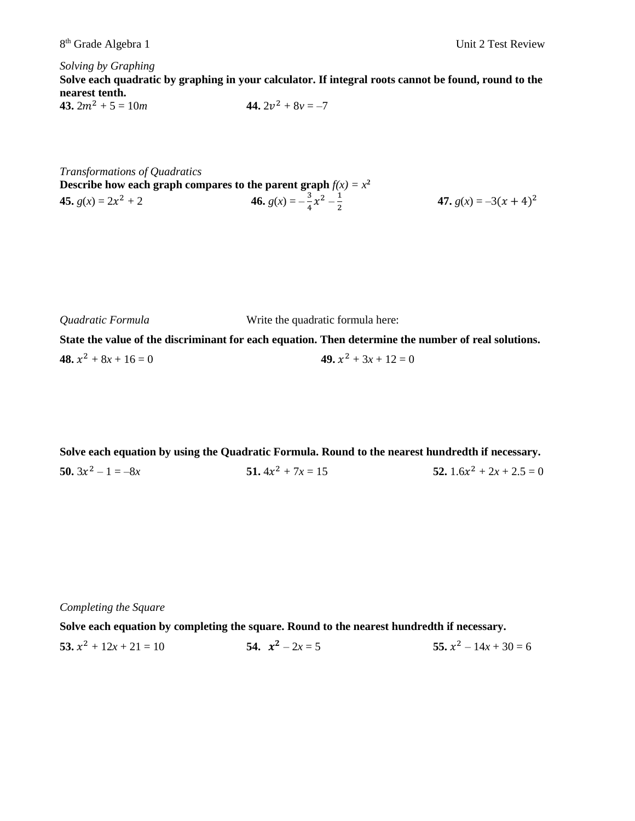*Solving by Graphing*

**Solve each quadratic by graphing in your calculator. If integral roots cannot be found, round to the nearest tenth.** 

**43.** 
$$
2m^2 + 5 = 10m
$$
   
**44.**  $2v^2 + 8v = -7$ 

*Transformations of Quadratics* **Describe how each graph compares to the parent graph**  $f(x) = x^2$ **45.**  $g(x) = 2x^2 + 2$  $x^2 + 2$  **46.**  $g(x) = -\frac{3}{4}$  $\frac{3}{4}x^2 - \frac{1}{2}$ 2 **47.**  $g(x) = -3(x + 4)^2$ 

*Quadratic Formula* Write the quadratic formula here:

**State the value of the discriminant for each equation. Then determine the number of real solutions. 48.**  $x^2 + 8x + 16 = 0$  **49.**  $x$ 49.  $x^2 + 3x + 12 = 0$ 

**Solve each equation by using the Quadratic Formula. Round to the nearest hundredth if necessary. 50.**  $3x^2 - 1 = -8x$  **51.**  $4x$  $51.4x^2 + 7x = 15$ 52.  $1.6x^2 + 2x + 2.5 = 0$ 

*Completing the Square*

**Solve each equation by completing the square. Round to the nearest hundredth if necessary.**

**53.**  $x^2 + 12x + 21 = 10$  **54.**  $x$ 54.  $x^2 - 2x = 5$ 55.  $x^2 - 14x + 30 = 6$